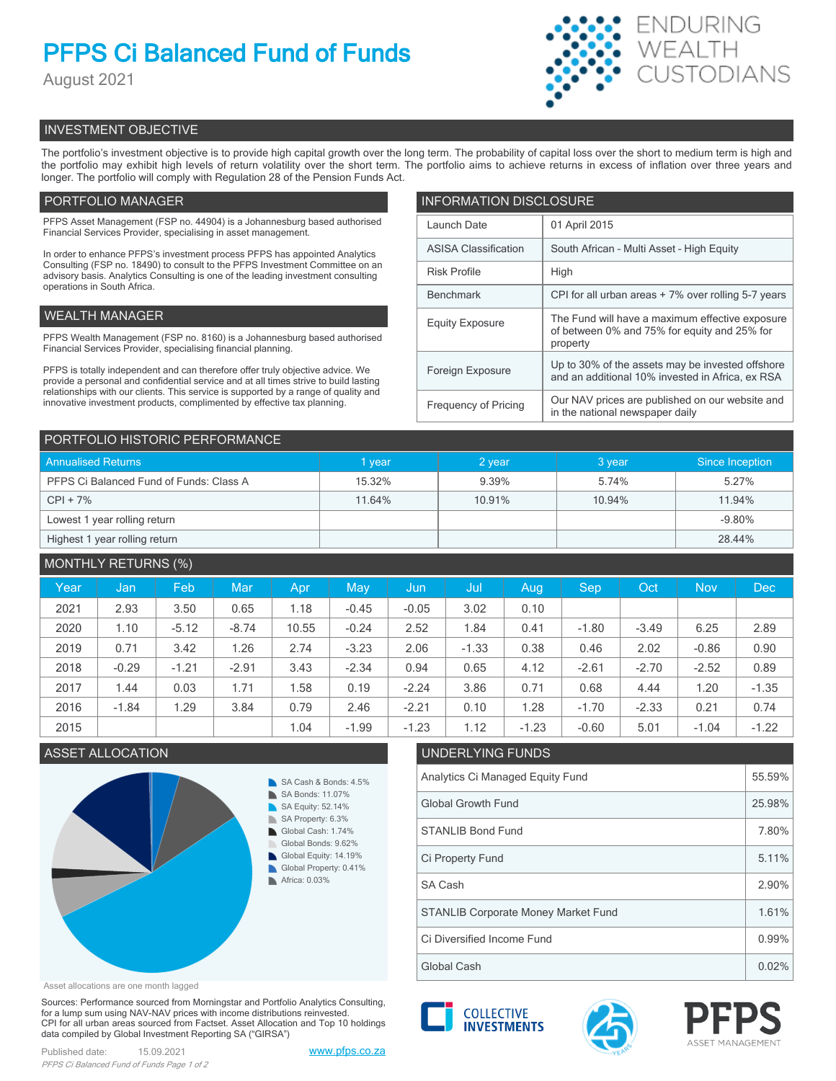# **PFPS Ci Balanced Fund of Funds**

August 2021



## INVESTMENT OBJECTIVE

The portfolio's investment objective is to provide high capital growth over the long term. The probability of capital loss over the short to medium term is high and the portfolio may exhibit high levels of return volatility over the short term. The portfolio aims to achieve returns in excess of inflation over three years and longer. The portfolio will comply with Regulation 28 of the Pension Funds Act.

## PORTFOLIO MANAGER

PFPS Asset Management (FSP no. 44904) is a Johannesburg based authorised Financial Services Provider, specialising in asset management.

In order to enhance PFPS's investment process PFPS has appointed Analytics Consulting (FSP no. 18490) to consult to the PFPS Investment Committee on an advisory basis. Analytics Consulting is one of the leading investment consulting operations in South Africa.

## WEALTH MANAGER

PFPS Wealth Management (FSP no. 8160) is a Johannesburg based authorised Financial Services Provider, specialising financial planning.

PFPS is totally independent and can therefore offer truly objective advice. We provide a personal and confidential service and at all times strive to build lasting relationships with our clients. This service is supported by a range of quality and innovative investment products, complimented by effective tax planning.

| <b>INFORMATION DISCLOSURE</b> |                                                                                                             |  |  |  |  |
|-------------------------------|-------------------------------------------------------------------------------------------------------------|--|--|--|--|
| Launch Date                   | 01 April 2015                                                                                               |  |  |  |  |
| <b>ASISA Classification</b>   | South African - Multi Asset - High Equity                                                                   |  |  |  |  |
| <b>Risk Profile</b>           | High                                                                                                        |  |  |  |  |
| <b>Benchmark</b>              | CPI for all urban areas + 7% over rolling 5-7 years                                                         |  |  |  |  |
| <b>Equity Exposure</b>        | The Fund will have a maximum effective exposure<br>of between 0% and 75% for equity and 25% for<br>property |  |  |  |  |
| Foreign Exposure              | Up to 30% of the assets may be invested offshore<br>and an additional 10% invested in Africa, ex RSA        |  |  |  |  |
| <b>Frequency of Pricing</b>   | Our NAV prices are published on our website and<br>in the national newspaper daily                          |  |  |  |  |

| PORTFOLIO HISTORIC PERFORMANCE          |        |        |        |                 |  |  |  |
|-----------------------------------------|--------|--------|--------|-----------------|--|--|--|
| <b>Annualised Returns</b>               | 1 year | 2 year | 3 year | Since Inception |  |  |  |
| PFPS Ci Balanced Fund of Funds: Class A | 15.32% | 9.39%  | 5.74%  | 5.27%           |  |  |  |
| $CPI + 7%$                              | 11.64% | 10.91% | 10.94% | 11.94%          |  |  |  |
| Lowest 1 year rolling return            |        |        |        | $-9.80%$        |  |  |  |
| Highest 1 year rolling return           |        |        |        | 28.44%          |  |  |  |

| <b>MONTHLY RETURNS (%)</b> |         |         |         |       |         |         |         |         |            |         |            |            |
|----------------------------|---------|---------|---------|-------|---------|---------|---------|---------|------------|---------|------------|------------|
| Year                       | Jan     | Feb     | Mar     | Apr   | May     | Jun     | Jul     | Aug     | <b>Sep</b> | Oct     | <b>Nov</b> | <b>Dec</b> |
| 2021                       | 2.93    | 3.50    | 0.65    | 1.18  | $-0.45$ | $-0.05$ | 3.02    | 0.10    |            |         |            |            |
| 2020                       | 1.10    | $-5.12$ | $-8.74$ | 10.55 | $-0.24$ | 2.52    | 1.84    | 0.41    | $-1.80$    | $-3.49$ | 6.25       | 2.89       |
| 2019                       | 0.71    | 3.42    | 1.26    | 2.74  | $-3.23$ | 2.06    | $-1.33$ | 0.38    | 0.46       | 2.02    | $-0.86$    | 0.90       |
| 2018                       | $-0.29$ | $-1.21$ | $-2.91$ | 3.43  | $-2.34$ | 0.94    | 0.65    | 4.12    | $-2.61$    | $-2.70$ | $-2.52$    | 0.89       |
| 2017                       | 1.44    | 0.03    | 1.71    | 1.58  | 0.19    | $-2.24$ | 3.86    | 0.71    | 0.68       | 4.44    | 1.20       | $-1.35$    |
| 2016                       | $-1.84$ | 1.29    | 3.84    | 0.79  | 2.46    | $-2.21$ | 0.10    | 1.28    | $-1.70$    | $-2.33$ | 0.21       | 0.74       |
| 2015                       |         |         |         | 1.04  | $-1.99$ | $-1.23$ | 1.12    | $-1.23$ | $-0.60$    | 5.01    | $-1.04$    | $-1.22$    |

## ASSET ALLOCATION UNDERLYING FUNDS



## Asset allocations are one month lagged

Sources: Performance sourced from Morningstar and Portfolio Analytics Consulting, for a lump sum using NAV-NAV prices with income distributions reinvested. CPI for all urban areas sourced from Factset. Asset Allocation and Top 10 holdings data compiled by Global Investment Reporting SA ("GIRSA")



Global Cash  $\vert$  0.02%





Ci Diversified Income Fund 0.99%